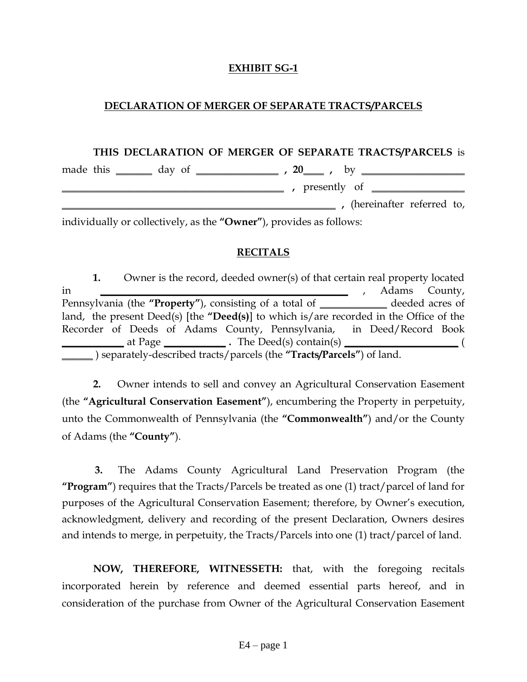## **EXHIBIT SG-1**

## **DECLARATION OF MERGER OF SEPARATE TRACTS/PARCELS**

#### **THIS DECLARATION OF MERGER OF SEPARATE TRACTS/PARCELS** is

|  | made this ________ day of |  | $\frac{1}{20}$ , 20 , by $\frac{1}{20}$ |  |                                |  |
|--|---------------------------|--|-----------------------------------------|--|--------------------------------|--|
|  |                           |  |                                         |  | , presently of $\qquad \qquad$ |  |
|  |                           |  |                                         |  | , (hereinafter referred to,    |  |
|  |                           |  |                                         |  |                                |  |

individually or collectively, as the **"Owner"**), provides as follows:

#### **RECITALS**

**1.** Owner is the record, deeded owner(s) of that certain real property located in **\_\_\_\_\_\_\_\_\_\_\_\_\_\_\_\_\_\_\_\_\_\_\_\_\_\_\_\_\_\_\_\_\_\_\_\_\_\_\_\_\_\_\_\_\_\_\_\_** , Adams County, Pennsylvania (the **"Property"**), consisting of a total of **\_\_\_\_\_\_\_\_\_\_\_\_\_** deeded acres of land, the present Deed(s) [the **"Deed(s)**] to which is/are recorded in the Office of the Recorder of Deeds of Adams County, Pennsylvania, in Deed/Record Book **\_\_\_\_\_\_\_\_\_\_\_\_** at Page **\_\_\_\_\_\_\_\_\_\_\_\_ .** The Deed(s) contain(s) **\_\_\_\_\_\_\_\_\_\_\_\_\_\_\_\_\_\_\_\_\_\_** ( **\_\_\_\_\_\_** ) separately-described tracts/parcels (the **"Tracts/Parcels"**) of land.

**2.** Owner intends to sell and convey an Agricultural Conservation Easement (the **"Agricultural Conservation Easement"**), encumbering the Property in perpetuity, unto the Commonwealth of Pennsylvania (the **"Commonwealth"**) and/or the County of Adams (the **"County"**).

**3.** The Adams County Agricultural Land Preservation Program (the **"Program"**) requires that the Tracts/Parcels be treated as one (1) tract/parcel of land for purposes of the Agricultural Conservation Easement; therefore, by Owner's execution, acknowledgment, delivery and recording of the present Declaration, Owners desires and intends to merge, in perpetuity, the Tracts/Parcels into one (1) tract/parcel of land.

**NOW, THEREFORE, WITNESSETH:** that, with the foregoing recitals incorporated herein by reference and deemed essential parts hereof, and in consideration of the purchase from Owner of the Agricultural Conservation Easement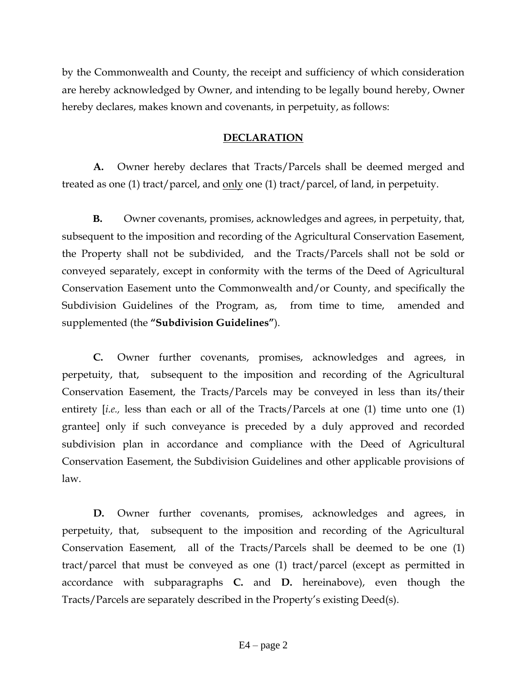by the Commonwealth and County, the receipt and sufficiency of which consideration are hereby acknowledged by Owner, and intending to be legally bound hereby, Owner hereby declares, makes known and covenants, in perpetuity, as follows:

# **DECLARATION**

**A.** Owner hereby declares that Tracts/Parcels shall be deemed merged and treated as one (1) tract/parcel, and only one (1) tract/parcel, of land, in perpetuity.

**B.** Owner covenants, promises, acknowledges and agrees, in perpetuity, that, subsequent to the imposition and recording of the Agricultural Conservation Easement, the Property shall not be subdivided, and the Tracts/Parcels shall not be sold or conveyed separately, except in conformity with the terms of the Deed of Agricultural Conservation Easement unto the Commonwealth and/or County, and specifically the Subdivision Guidelines of the Program, as, from time to time, amended and supplemented (the **"Subdivision Guidelines"**).

**C.** Owner further covenants, promises, acknowledges and agrees, in perpetuity, that, subsequent to the imposition and recording of the Agricultural Conservation Easement, the Tracts/Parcels may be conveyed in less than its/their entirety [*i.e.,* less than each or all of the Tracts/Parcels at one (1) time unto one (1) grantee] only if such conveyance is preceded by a duly approved and recorded subdivision plan in accordance and compliance with the Deed of Agricultural Conservation Easement, the Subdivision Guidelines and other applicable provisions of law.

**D.** Owner further covenants, promises, acknowledges and agrees, in perpetuity, that, subsequent to the imposition and recording of the Agricultural Conservation Easement, all of the Tracts/Parcels shall be deemed to be one (1) tract/parcel that must be conveyed as one (1) tract/parcel (except as permitted in accordance with subparagraphs **C.** and **D.** hereinabove), even though the Tracts/Parcels are separately described in the Property's existing Deed(s).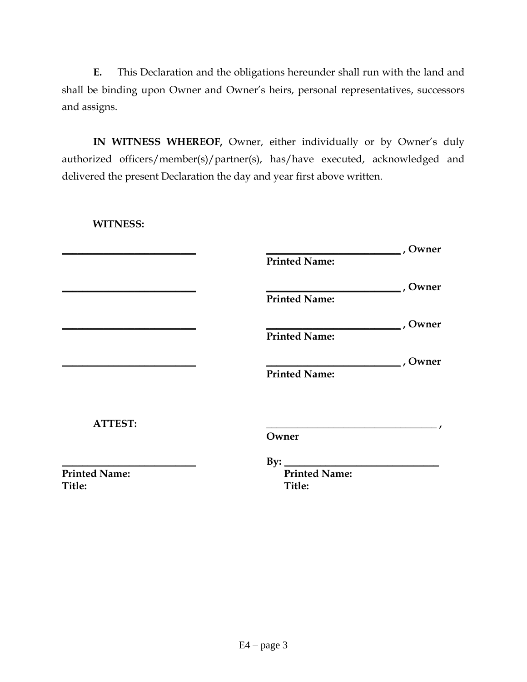**E.** This Declaration and the obligations hereunder shall run with the land and shall be binding upon Owner and Owner's heirs, personal representatives, successors and assigns.

**IN WITNESS WHEREOF,** Owner, either individually or by Owner's duly authorized officers/member(s)/partner(s), has/have executed, acknowledged and delivered the present Declaration the day and year first above written.

**WITNESS:**

|                      |                      | , Owner |
|----------------------|----------------------|---------|
|                      | <b>Printed Name:</b> |         |
|                      |                      | , Owner |
|                      | <b>Printed Name:</b> |         |
|                      |                      | , Owner |
|                      | <b>Printed Name:</b> |         |
|                      |                      | , Owner |
|                      | <b>Printed Name:</b> |         |
|                      |                      |         |
| <b>ATTEST:</b>       |                      |         |
|                      | Owner                |         |
|                      | By:                  |         |
| <b>Printed Name:</b> | <b>Printed Name:</b> |         |
| Title:               | Title:               |         |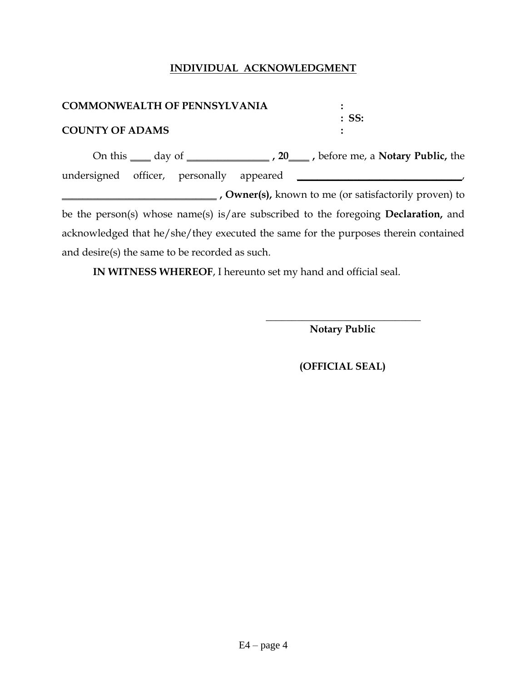# **INDIVIDUAL ACKNOWLEDGMENT**

| <b>COMMONWEALTH OF PENNSYLVANIA</b>                                                        |                                                                                                |  |  |  |
|--------------------------------------------------------------------------------------------|------------------------------------------------------------------------------------------------|--|--|--|
| <b>COUNTY OF ADAMS</b>                                                                     | $:$ SS:                                                                                        |  |  |  |
|                                                                                            | On this <u>equal day of equal contract a</u> <b>20</b> before me, a <b>Notary Public</b> , the |  |  |  |
|                                                                                            |                                                                                                |  |  |  |
|                                                                                            |                                                                                                |  |  |  |
|                                                                                            | <b>Notai</b> , <b>Owner(s)</b> , known to me (or satisfactorily proven) to                     |  |  |  |
| be the person(s) whose name(s) is/are subscribed to the foregoing <b>Declaration</b> , and |                                                                                                |  |  |  |
| acknowledged that he/she/they executed the same for the purposes therein contained         |                                                                                                |  |  |  |
| and desire(s) the same to be recorded as such.                                             |                                                                                                |  |  |  |

**IN WITNESS WHEREOF**, I hereunto set my hand and official seal.

 **Notary Public**

 **\_\_\_\_\_\_\_\_\_\_\_\_\_\_\_\_\_\_\_\_\_\_\_\_\_\_\_\_\_\_**

 **(OFFICIAL SEAL)**